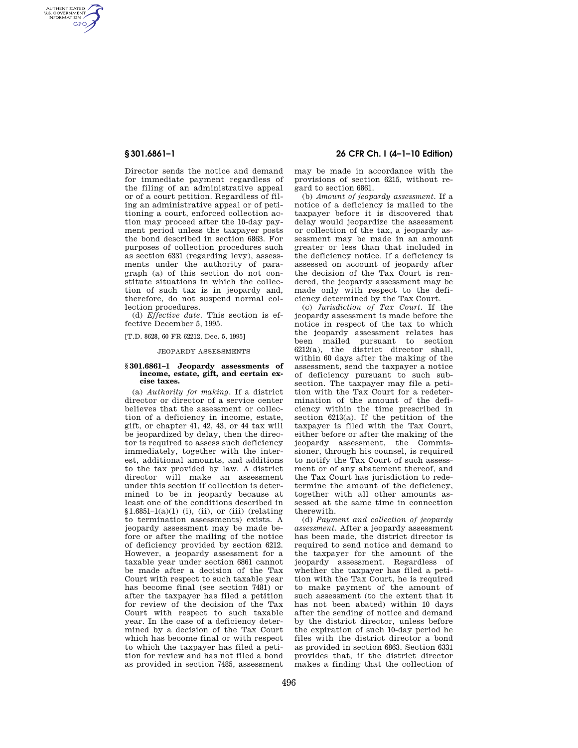AUTHENTICATED<br>U.S. GOVERNMENT<br>INFORMATION **GPO** 

> Director sends the notice and demand for immediate payment regardless of the filing of an administrative appeal or of a court petition. Regardless of filing an administrative appeal or of petitioning a court, enforced collection action may proceed after the 10-day payment period unless the taxpayer posts the bond described in section 6863. For purposes of collection procedures such as section 6331 (regarding levy), assessments under the authority of paragraph (a) of this section do not constitute situations in which the collection of such tax is in jeopardy and, therefore, do not suspend normal collection procedures.

(d) *Effective date.* This section is effective December 5, 1995.

[T.D. 8628, 60 FR 62212, Dec. 5, 1995]

## JEOPARDY ASSESSMENTS

## **§ 301.6861–1 Jeopardy assessments of income, estate, gift, and certain excise taxes.**

(a) *Authority for making.* If a district director or director of a service center believes that the assessment or collection of a deficiency in income, estate, gift, or chapter 41, 42, 43, or 44 tax will be jeopardized by delay, then the director is required to assess such deficiency immediately, together with the interest, additional amounts, and additions to the tax provided by law. A district director will make an assessment under this section if collection is determined to be in jeopardy because at least one of the conditions described in  $$1.6851-1(a)(1)$  (i), (ii), or (iii) (relating to termination assessments) exists. A jeopardy assessment may be made before or after the mailing of the notice of deficiency provided by section 6212. However, a jeopardy assessment for a taxable year under section 6861 cannot be made after a decision of the Tax Court with respect to such taxable year has become final (see section 7481) or after the taxpayer has filed a petition for review of the decision of the Tax Court with respect to such taxable year. In the case of a deficiency determined by a decision of the Tax Court which has become final or with respect to which the taxpayer has filed a petition for review and has not filed a bond as provided in section 7485, assessment

# **§ 301.6861–1 26 CFR Ch. I (4–1–10 Edition)**

may be made in accordance with the provisions of section 6215, without regard to section 6861.

(b) *Amount of jeopardy assessment.* If a notice of a deficiency is mailed to the taxpayer before it is discovered that delay would jeopardize the assessment or collection of the tax, a jeopardy assessment may be made in an amount greater or less than that included in the deficiency notice. If a deficiency is assessed on account of jeopardy after the decision of the Tax Court is rendered, the jeopardy assessment may be made only with respect to the deficiency determined by the Tax Court.

(c) *Jurisdiction of Tax Court.* If the jeopardy assessment is made before the notice in respect of the tax to which the jeopardy assessment relates has been mailed pursuant to section 6212(a), the district director shall, within 60 days after the making of the assessment, send the taxpayer a notice of deficiency pursuant to such subsection. The taxpayer may file a petition with the Tax Court for a redetermination of the amount of the deficiency within the time prescribed in section 6213(a). If the petition of the taxpayer is filed with the Tax Court, either before or after the making of the jeopardy assessment, the Commissioner, through his counsel, is required to notify the Tax Court of such assessment or of any abatement thereof, and the Tax Court has jurisdiction to redetermine the amount of the deficiency, together with all other amounts assessed at the same time in connection therewith.

(d) *Payment and collection of jeopardy assessment.* After a jeopardy assessment has been made, the district director is required to send notice and demand to the taxpayer for the amount of the jeopardy assessment. Regardless of whether the taxpayer has filed a petition with the Tax Court, he is required to make payment of the amount of such assessment (to the extent that it has not been abated) within 10 days after the sending of notice and demand by the district director, unless before the expiration of such 10-day period he files with the district director a bond as provided in section 6863. Section 6331 provides that, if the district director makes a finding that the collection of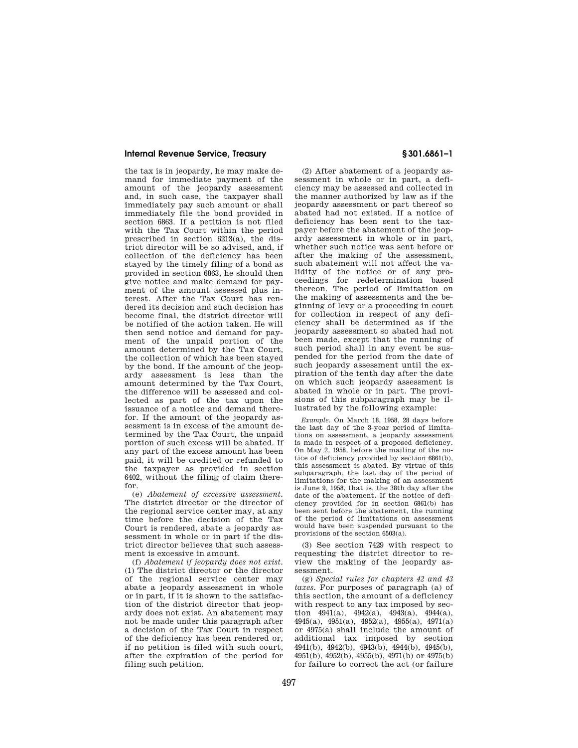## **Internal Revenue Service, Treasury § 301.6861–1**

the tax is in jeopardy, he may make demand for immediate payment of the amount of the jeopardy assessment and, in such case, the taxpayer shall immediately pay such amount or shall immediately file the bond provided in section 6863. If a petition is not filed with the Tax Court within the period prescribed in section 6213(a), the district director will be so advised, and, if collection of the deficiency has been stayed by the timely filing of a bond as provided in section 6863, he should then give notice and make demand for payment of the amount assessed plus interest. After the Tax Court has rendered its decision and such decision has become final, the district director will be notified of the action taken. He will then send notice and demand for payment of the unpaid portion of the amount determined by the Tax Court, the collection of which has been stayed by the bond. If the amount of the jeopardy assessment is less than the amount determined by the Tax Court, the difference will be assessed and collected as part of the tax upon the issuance of a notice and demand therefor. If the amount of the jeopardy assessment is in excess of the amount determined by the Tax Court, the unpaid portion of such excess will be abated. If any part of the excess amount has been paid, it will be credited or refunded to the taxpayer as provided in section 6402, without the filing of claim therefor.

(e) *Abatement of excessive assessment.*  The district director or the director of the regional service center may, at any time before the decision of the Tax Court is rendered, abate a jeopardy assessment in whole or in part if the district director believes that such assessment is excessive in amount.

(f) *Abatement if jeopardy does not exist.*  (1) The district director or the director of the regional service center may abate a jeopardy assessment in whole or in part, if it is shown to the satisfaction of the district director that jeopardy does not exist. An abatement may not be made under this paragraph after a decision of the Tax Court in respect of the deficiency has been rendered or, if no petition is filed with such court, after the expiration of the period for filing such petition.

(2) After abatement of a jeopardy assessment in whole or in part, a deficiency may be assessed and collected in the manner authorized by law as if the jeopardy assessment or part thereof so abated had not existed. If a notice of deficiency has been sent to the taxpayer before the abatement of the jeopardy assessment in whole or in part, whether such notice was sent before or after the making of the assessment, such abatement will not affect the validity of the notice or of any proceedings for redetermination based thereon. The period of limitation on the making of assessments and the beginning of levy or a proceeding in court for collection in respect of any deficiency shall be determined as if the jeopardy assessment so abated had not been made, except that the running of such period shall in any event be suspended for the period from the date of such jeopardy assessment until the expiration of the tenth day after the date on which such jeopardy assessment is abated in whole or in part. The provisions of this subparagraph may be illustrated by the following example:

*Example.* On March 18, 1958, 28 days before the last day of the 3-year period of limitations on assessment, a jeopardy assessment is made in respect of a proposed deficiency. On May 2, 1958, before the mailing of the notice of deficiency provided by section 6861(b), this assessment is abated. By virtue of this subparagraph, the last day of the period of limitations for the making of an assessment is June 9, 1958, that is, the 38th day after the date of the abatement. If the notice of deficiency provided for in section 6861(b) has been sent before the abatement, the running of the period of limitations on assessment would have been suspended pursuant to the provisions of the section 6503(a).

(3) See section 7429 with respect to requesting the district director to review the making of the jeopardy assessment.

(g) *Special rules for chapters 42 and 43 taxes.* For purposes of paragraph (a) of this section, the amount of a deficiency with respect to any tax imposed by section  $4941(a)$ ,  $4942(a)$ ,  $4943(a)$ ,  $4944(a)$ , 4945(a), 4951(a), 4952(a), 4955(a), 4971(a) or 4975(a) shall include the amount of additional tax imposed by section 4941(b), 4942(b), 4943(b), 4944(b), 4945(b), 4951(b), 4952(b), 4955(b), 4971(b) or 4975(b) for failure to correct the act (or failure